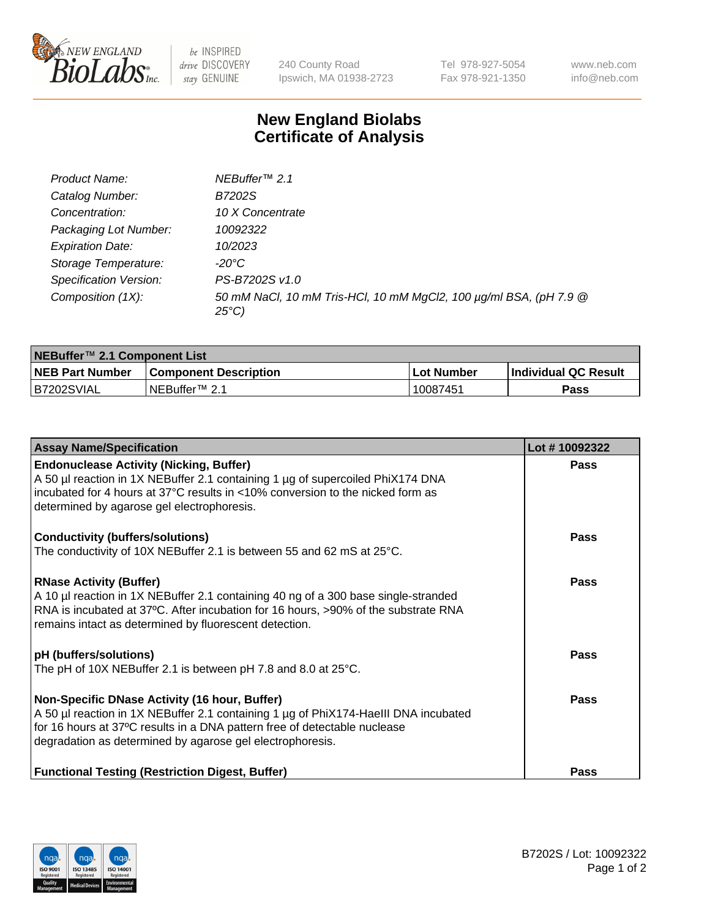

 $be$  INSPIRED drive DISCOVERY stay GENUINE

240 County Road Ipswich, MA 01938-2723 Tel 978-927-5054 Fax 978-921-1350 www.neb.com info@neb.com

## **New England Biolabs Certificate of Analysis**

| Product Name:           | NEBuffer <sup>™</sup> 2.1                                                          |
|-------------------------|------------------------------------------------------------------------------------|
| Catalog Number:         | B7202S                                                                             |
| Concentration:          | 10 X Concentrate                                                                   |
| Packaging Lot Number:   | 10092322                                                                           |
| <b>Expiration Date:</b> | 10/2023                                                                            |
| Storage Temperature:    | -20°C                                                                              |
| Specification Version:  | PS-B7202S v1.0                                                                     |
| Composition (1X):       | 50 mM NaCl, 10 mM Tris-HCl, 10 mM MgCl2, 100 µg/ml BSA, (pH 7.9 @<br>$25^{\circ}C$ |

| NEBuffer™ 2.1 Component List |                              |            |                             |  |  |
|------------------------------|------------------------------|------------|-----------------------------|--|--|
| <b>NEB Part Number</b>       | <b>Component Description</b> | Lot Number | <b>Individual QC Result</b> |  |  |
| B7202SVIAL                   | NEBuffer™ 2.1                | 10087451   | Pass                        |  |  |

| <b>Assay Name/Specification</b>                                                                                                                                          | Lot #10092322 |
|--------------------------------------------------------------------------------------------------------------------------------------------------------------------------|---------------|
| <b>Endonuclease Activity (Nicking, Buffer)</b><br>A 50 µl reaction in 1X NEBuffer 2.1 containing 1 µg of supercoiled PhiX174 DNA                                         | <b>Pass</b>   |
| incubated for 4 hours at 37°C results in <10% conversion to the nicked form as                                                                                           |               |
| determined by agarose gel electrophoresis.                                                                                                                               |               |
| <b>Conductivity (buffers/solutions)</b>                                                                                                                                  | Pass          |
| The conductivity of 10X NEBuffer 2.1 is between 55 and 62 mS at $25^{\circ}$ C.                                                                                          |               |
| <b>RNase Activity (Buffer)</b>                                                                                                                                           | Pass          |
| A 10 µl reaction in 1X NEBuffer 2.1 containing 40 ng of a 300 base single-stranded<br>RNA is incubated at 37°C. After incubation for 16 hours, >90% of the substrate RNA |               |
| remains intact as determined by fluorescent detection.                                                                                                                   |               |
| pH (buffers/solutions)                                                                                                                                                   | <b>Pass</b>   |
| The pH of 10X NEBuffer 2.1 is between pH 7.8 and 8.0 at 25°C.                                                                                                            |               |
| Non-Specific DNase Activity (16 hour, Buffer)                                                                                                                            | <b>Pass</b>   |
| A 50 µl reaction in 1X NEBuffer 2.1 containing 1 µg of PhiX174-HaellI DNA incubated<br>for 16 hours at 37°C results in a DNA pattern free of detectable nuclease         |               |
| degradation as determined by agarose gel electrophoresis.                                                                                                                |               |
|                                                                                                                                                                          |               |
| <b>Functional Testing (Restriction Digest, Buffer)</b>                                                                                                                   | Pass          |